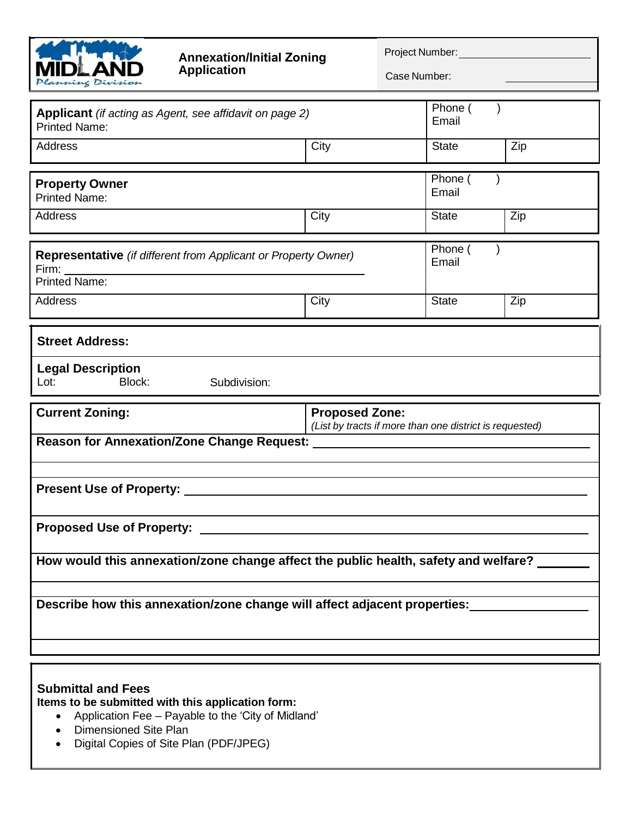

## **Annexation/Initial Zoning Application**

Project Number:

Case Number:

| Applicant (if acting as Agent, see affidavit on page 2)<br><b>Printed Name:</b>        |                                                                                  | Phone (<br>Email |     |
|----------------------------------------------------------------------------------------|----------------------------------------------------------------------------------|------------------|-----|
| Address                                                                                | City                                                                             | <b>State</b>     | Zip |
|                                                                                        |                                                                                  |                  |     |
| <b>Property Owner</b><br><b>Printed Name:</b>                                          |                                                                                  | Phone (<br>Email |     |
| Address                                                                                | City                                                                             | <b>State</b>     | Zip |
| Representative (if different from Applicant or Property Owner)<br><b>Printed Name:</b> |                                                                                  | Phone (<br>Email |     |
| Address                                                                                | City                                                                             | <b>State</b>     | Zip |
|                                                                                        |                                                                                  |                  |     |
| <b>Street Address:</b>                                                                 |                                                                                  |                  |     |
| <b>Legal Description</b>                                                               |                                                                                  |                  |     |
|                                                                                        |                                                                                  |                  |     |
|                                                                                        |                                                                                  |                  |     |
| Lot:<br>Block:<br>Subdivision:                                                         |                                                                                  |                  |     |
|                                                                                        |                                                                                  |                  |     |
| <b>Current Zoning:</b>                                                                 | <b>Proposed Zone:</b><br>(List by tracts if more than one district is requested) |                  |     |
|                                                                                        |                                                                                  |                  |     |
|                                                                                        |                                                                                  |                  |     |
|                                                                                        |                                                                                  |                  |     |
|                                                                                        |                                                                                  |                  |     |
|                                                                                        |                                                                                  |                  |     |
|                                                                                        |                                                                                  |                  |     |
| How would this annexation/zone change affect the public health, safety and welfare?    |                                                                                  |                  |     |
|                                                                                        |                                                                                  |                  |     |
|                                                                                        |                                                                                  |                  |     |
| Describe how this annexation/zone change will affect adjacent properties:              |                                                                                  |                  |     |
|                                                                                        |                                                                                  |                  |     |

## **Submittal and Fees**

**Items to be submitted with this application form:**

- Application Fee Payable to the 'City of Midland'
- Dimensioned Site Plan
- Digital Copies of Site Plan (PDF/JPEG)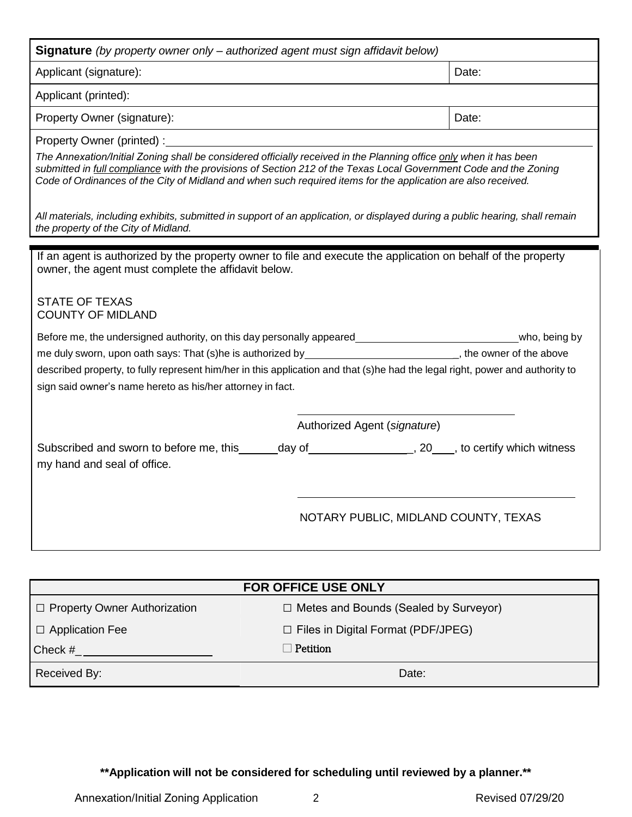| <b>Signature</b> (by property owner only – authorized agent must sign affidavit below)                                                                                                                                              |                                                                                                                               |
|-------------------------------------------------------------------------------------------------------------------------------------------------------------------------------------------------------------------------------------|-------------------------------------------------------------------------------------------------------------------------------|
| Applicant (signature):                                                                                                                                                                                                              | Date:                                                                                                                         |
| Applicant (printed):                                                                                                                                                                                                                |                                                                                                                               |
| Property Owner (signature):                                                                                                                                                                                                         | Date:                                                                                                                         |
| Property Owner (printed): The contract of the contract of the contract of the contract of the contract of the contract of the contract of the contract of the contract of the contract of the contract of the contract of the       |                                                                                                                               |
| The Annexation/Initial Zoning shall be considered officially received in the Planning office only when it has been<br>Code of Ordinances of the City of Midland and when such required items for the application are also received. | submitted in full compliance with the provisions of Section 212 of the Texas Local Government Code and the Zoning             |
| the property of the City of Midland.                                                                                                                                                                                                | All materials, including exhibits, submitted in support of an application, or displayed during a public hearing, shall remain |
| owner, the agent must complete the affidavit below.<br><b>STATE OF TEXAS</b><br><b>COUNTY OF MIDLAND</b>                                                                                                                            | me duly sworn, upon oath says: That (s)he is authorized by _______________________________, the owner of the above            |
| sign said owner's name hereto as his/her attorney in fact.                                                                                                                                                                          | described property, to fully represent him/her in this application and that (s)he had the legal right, power and authority to |
|                                                                                                                                                                                                                                     | Authorized Agent (signature)                                                                                                  |
| my hand and seal of office.                                                                                                                                                                                                         | Subscribed and sworn to before me, this______day of__________________, 20____, to certify which witness                       |
|                                                                                                                                                                                                                                     | NOTARY PUBLIC, MIDLAND COUNTY, TEXAS                                                                                          |

| <b>FOR OFFICE USE ONLY</b>     |                                              |  |
|--------------------------------|----------------------------------------------|--|
| □ Property Owner Authorization | $\Box$ Metes and Bounds (Sealed by Surveyor) |  |
| $\Box$ Application Fee         | $\Box$ Files in Digital Format (PDF/JPEG)    |  |
| Check #                        | Petition                                     |  |
| Received By:                   | Date:                                        |  |

**\*\*Application will not be considered for scheduling until reviewed by a planner.\*\***